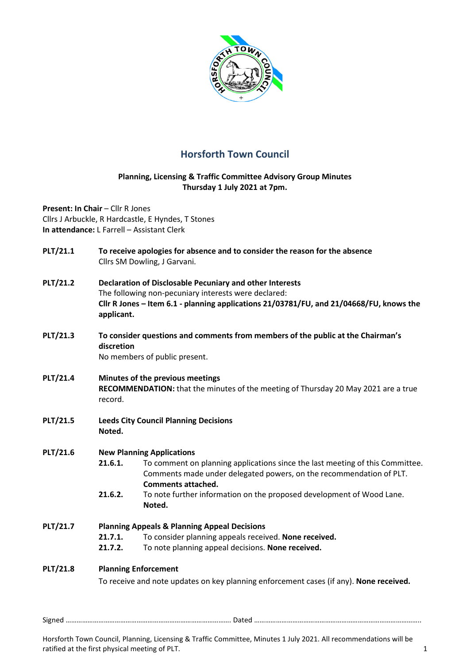

# **Horsforth Town Council**

## **Planning, Licensing & Traffic Committee Advisory Group Minutes Thursday 1 July 2021 at 7pm.**

**Present: In Chair - Cllr R Jones** Cllrs J Arbuckle, R Hardcastle, E Hyndes, T Stones **In attendance:** L Farrell – Assistant Clerk

| <b>PLT/21.1</b> | To receive apologies for absence and to consider the reason for the absence<br>Cllrs SM Dowling, J Garvani.                                                                                                                      |                                                                                                                                                                                   |  |  |
|-----------------|----------------------------------------------------------------------------------------------------------------------------------------------------------------------------------------------------------------------------------|-----------------------------------------------------------------------------------------------------------------------------------------------------------------------------------|--|--|
| <b>PLT/21.2</b> | <b>Declaration of Disclosable Pecuniary and other Interests</b><br>The following non-pecuniary interests were declared:<br>Cllr R Jones - Item 6.1 - planning applications 21/03781/FU, and 21/04668/FU, knows the<br>applicant. |                                                                                                                                                                                   |  |  |
| PLT/21.3        | To consider questions and comments from members of the public at the Chairman's<br>discretion<br>No members of public present.                                                                                                   |                                                                                                                                                                                   |  |  |
| <b>PLT/21.4</b> | Minutes of the previous meetings<br>RECOMMENDATION: that the minutes of the meeting of Thursday 20 May 2021 are a true<br>record.                                                                                                |                                                                                                                                                                                   |  |  |
| <b>PLT/21.5</b> | <b>Leeds City Council Planning Decisions</b><br>Noted.                                                                                                                                                                           |                                                                                                                                                                                   |  |  |
| PLT/21.6        | <b>New Planning Applications</b>                                                                                                                                                                                                 |                                                                                                                                                                                   |  |  |
|                 | 21.6.1.                                                                                                                                                                                                                          | To comment on planning applications since the last meeting of this Committee.<br>Comments made under delegated powers, on the recommendation of PLT.<br><b>Comments attached.</b> |  |  |
|                 | 21.6.2.                                                                                                                                                                                                                          | To note further information on the proposed development of Wood Lane.<br>Noted.                                                                                                   |  |  |
| <b>PLT/21.7</b> | <b>Planning Appeals &amp; Planning Appeal Decisions</b>                                                                                                                                                                          |                                                                                                                                                                                   |  |  |
|                 | 21.7.1.                                                                                                                                                                                                                          | To consider planning appeals received. None received.                                                                                                                             |  |  |
|                 | 21.7.2.                                                                                                                                                                                                                          | To note planning appeal decisions. None received.                                                                                                                                 |  |  |
| <b>PLT/21.8</b> | <b>Planning Enforcement</b>                                                                                                                                                                                                      |                                                                                                                                                                                   |  |  |
|                 |                                                                                                                                                                                                                                  | To receive and note updates on key planning enforcement cases (if any). None received.                                                                                            |  |  |

Signed ………………………………………………………………………………. Dated ………………………………………………………………………………..

Horsforth Town Council, Planning, Licensing & Traffic Committee, Minutes 1 July 2021. All recommendations will be ratified at the first physical meeting of PLT. 1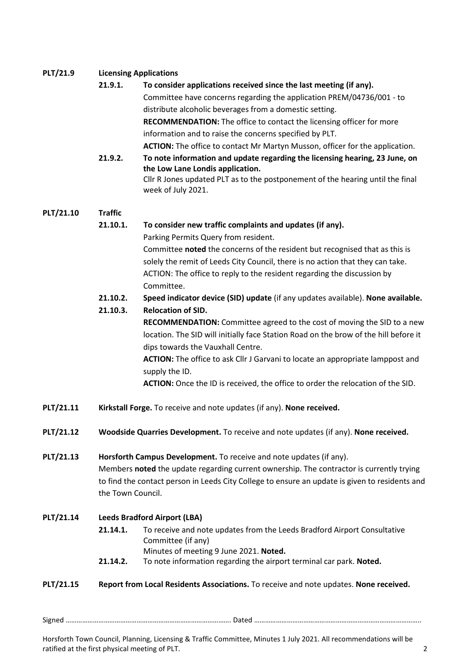## **PLT/21.9 Licensing Applications**

#### **21.9.1. To consider applications received since the last meeting (if any).**

Committee have concerns regarding the application PREM/04736/001 - to distribute alcoholic beverages from a domestic setting. **RECOMMENDATION:** The office to contact the licensing officer for more

information and to raise the concerns specified by PLT.

**ACTION:** The office to contact Mr Martyn Musson, officer for the application.

**21.9.2. To note information and update regarding the licensing hearing, 23 June, on the Low Lane Londis application.**  Cllr R Jones updated PLT as to the postponement of the hearing until the final week of July 2021.

## **PLT/21.10 Traffic**

## **21.10.1. To consider new traffic complaints and updates (if any).**

Parking Permits Query from resident.

Committee **noted** the concerns of the resident but recognised that as this is solely the remit of Leeds City Council, there is no action that they can take. ACTION: The office to reply to the resident regarding the discussion by Committee.

## **21.10.2. Speed indicator device (SID) update** (if any updates available). **None available.**

#### **21.10.3. Relocation of SID.**

**RECOMMENDATION:** Committee agreed to the cost of moving the SID to a new location. The SID will initially face Station Road on the brow of the hill before it dips towards the Vauxhall Centre.

**ACTION:** The office to ask Cllr J Garvani to locate an appropriate lamppost and supply the ID.

**ACTION:** Once the ID is received, the office to order the relocation of the SID.

- **PLT/21.11 Kirkstall Forge.** To receive and note updates (if any). **None received.**
- **PLT/21.12 Woodside Quarries Development.** To receive and note updates (if any). **None received.**

**PLT/21.13 Horsforth Campus Development.** To receive and note updates (if any). Members **noted** the update regarding current ownership. The contractor is currently trying to find the contact person in Leeds City College to ensure an update is given to residents and the Town Council.

#### **PLT/21.14 Leeds Bradford Airport (LBA)**

- **21.14.1.** To receive and note updates from the Leeds Bradford Airport Consultative Committee (if any) Minutes of meeting 9 June 2021. **Noted.** 
	-
- **21.14.2.** To note information regarding the airport terminal car park. **Noted.**

#### **PLT/21.15 Report from Local Residents Associations.** To receive and note updates. **None received.**

Signed ………………………………………………………………………………. Dated ………………………………………………………………………………..

Horsforth Town Council, Planning, Licensing & Traffic Committee, Minutes 1 July 2021. All recommendations will be ratified at the first physical meeting of PLT. 2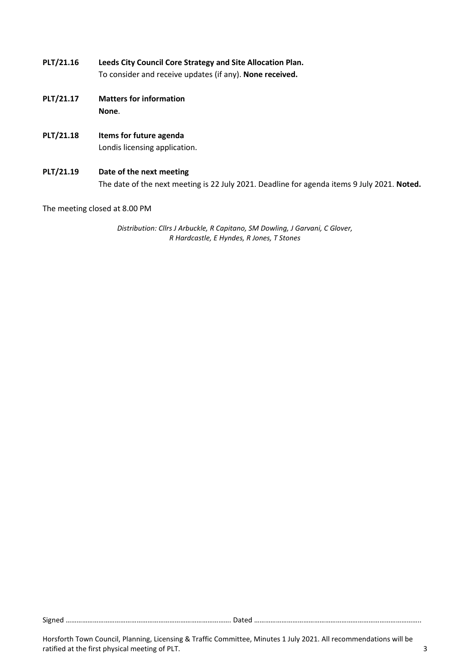- **PLT/21.16 Leeds City Council Core Strategy and Site Allocation Plan.**  To consider and receive updates (if any). **None received.**
- **PLT/21.17 Matters for information None**.
- **PLT/21.18 Items for future agenda**  Londis licensing application.
- **PLT/21.19 Date of the next meeting**  The date of the next meeting is 22 July 2021. Deadline for agenda items 9 July 2021. **Noted.**

The meeting closed at 8.00 PM

*Distribution: Cllrs J Arbuckle, R Capitano, SM Dowling, J Garvani, C Glover, R Hardcastle, E Hyndes, R Jones, T Stones* 

Signed ………………………………………………………………………………. Dated ………………………………………………………………………………..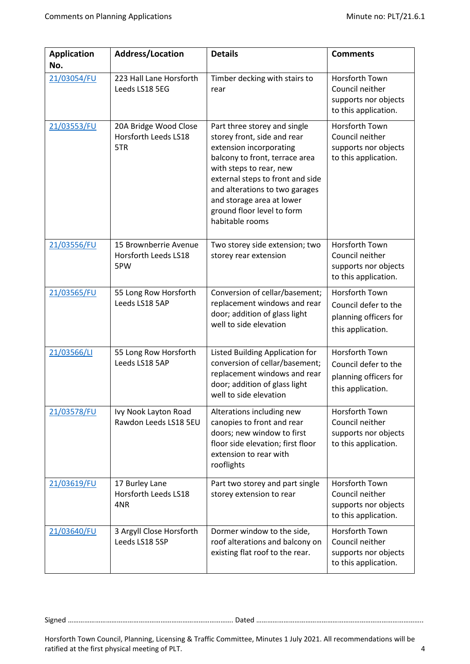| <b>Application</b><br>No. | <b>Address/Location</b>                              | <b>Details</b>                                                                                                                                                                                                                                                                                          | <b>Comments</b>                                                                          |
|---------------------------|------------------------------------------------------|---------------------------------------------------------------------------------------------------------------------------------------------------------------------------------------------------------------------------------------------------------------------------------------------------------|------------------------------------------------------------------------------------------|
| 21/03054/FU               | 223 Hall Lane Horsforth<br>Leeds LS18 5EG            | Timber decking with stairs to<br>rear                                                                                                                                                                                                                                                                   | Horsforth Town<br>Council neither<br>supports nor objects<br>to this application.        |
| 21/03553/FU               | 20A Bridge Wood Close<br>Horsforth Leeds LS18<br>5TR | Part three storey and single<br>storey front, side and rear<br>extension incorporating<br>balcony to front, terrace area<br>with steps to rear, new<br>external steps to front and side<br>and alterations to two garages<br>and storage area at lower<br>ground floor level to form<br>habitable rooms | Horsforth Town<br>Council neither<br>supports nor objects<br>to this application.        |
| 21/03556/FU               | 15 Brownberrie Avenue<br>Horsforth Leeds LS18<br>5PW | Two storey side extension; two<br>storey rear extension                                                                                                                                                                                                                                                 | Horsforth Town<br>Council neither<br>supports nor objects<br>to this application.        |
| 21/03565/FU               | 55 Long Row Horsforth<br>Leeds LS18 5AP              | Conversion of cellar/basement;<br>replacement windows and rear<br>door; addition of glass light<br>well to side elevation                                                                                                                                                                               | Horsforth Town<br>Council defer to the<br>planning officers for<br>this application.     |
| 21/03566/LI               | 55 Long Row Horsforth<br>Leeds LS18 5AP              | Listed Building Application for<br>conversion of cellar/basement;<br>replacement windows and rear<br>door; addition of glass light<br>well to side elevation                                                                                                                                            | Horsforth Town<br>Council defer to the<br>planning officers for<br>this application.     |
| 21/03578/FU               | Ivy Nook Layton Road<br>Rawdon Leeds LS18 5EU        | Alterations including new<br>canopies to front and rear<br>doors; new window to first<br>floor side elevation; first floor<br>extension to rear with<br>rooflights                                                                                                                                      | Horsforth Town<br>Council neither<br>supports nor objects<br>to this application.        |
| 21/03619/FU               | 17 Burley Lane<br><b>Horsforth Leeds LS18</b><br>4NR | Part two storey and part single<br>storey extension to rear                                                                                                                                                                                                                                             | <b>Horsforth Town</b><br>Council neither<br>supports nor objects<br>to this application. |
| 21/03640/FU               | 3 Argyll Close Horsforth<br>Leeds LS18 5SP           | Dormer window to the side,<br>roof alterations and balcony on<br>existing flat roof to the rear.                                                                                                                                                                                                        | <b>Horsforth Town</b><br>Council neither<br>supports nor objects<br>to this application. |

Signed ………………………………………………………………………………. Dated ………………………………………………………………………………..

Horsforth Town Council, Planning, Licensing & Traffic Committee, Minutes 1 July 2021. All recommendations will be ratified at the first physical meeting of PLT. 4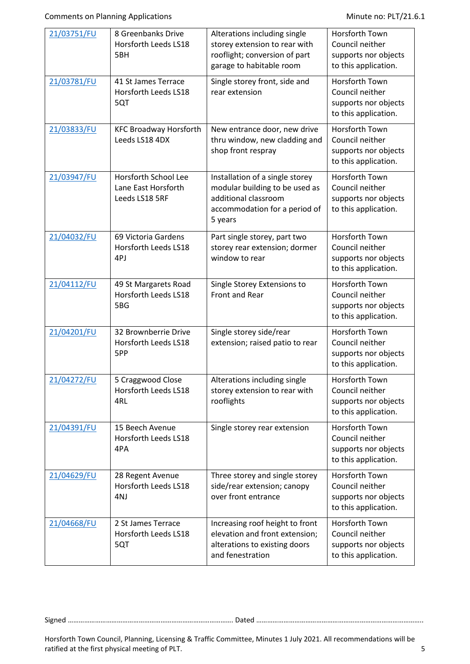| 21/03751/FU | 8 Greenbanks Drive<br>Horsforth Leeds LS18<br>5BH             | Alterations including single<br>storey extension to rear with<br>rooflight; conversion of part<br>garage to habitable room            | Horsforth Town<br>Council neither<br>supports nor objects<br>to this application.        |
|-------------|---------------------------------------------------------------|---------------------------------------------------------------------------------------------------------------------------------------|------------------------------------------------------------------------------------------|
| 21/03781/FU | 41 St James Terrace<br>Horsforth Leeds LS18<br>5QT            | Single storey front, side and<br>rear extension                                                                                       | Horsforth Town<br>Council neither<br>supports nor objects<br>to this application.        |
| 21/03833/FU | <b>KFC Broadway Horsforth</b><br>Leeds LS18 4DX               | New entrance door, new drive<br>thru window, new cladding and<br>shop front respray                                                   | <b>Horsforth Town</b><br>Council neither<br>supports nor objects<br>to this application. |
| 21/03947/FU | Horsforth School Lee<br>Lane East Horsforth<br>Leeds LS18 5RF | Installation of a single storey<br>modular building to be used as<br>additional classroom<br>accommodation for a period of<br>5 years | Horsforth Town<br>Council neither<br>supports nor objects<br>to this application.        |
| 21/04032/FU | 69 Victoria Gardens<br>Horsforth Leeds LS18<br>4PJ            | Part single storey, part two<br>storey rear extension; dormer<br>window to rear                                                       | <b>Horsforth Town</b><br>Council neither<br>supports nor objects<br>to this application. |
| 21/04112/FU | 49 St Margarets Road<br>Horsforth Leeds LS18<br>5BG           | Single Storey Extensions to<br><b>Front and Rear</b>                                                                                  | Horsforth Town<br>Council neither<br>supports nor objects<br>to this application.        |
| 21/04201/FU | 32 Brownberrie Drive<br>Horsforth Leeds LS18<br>5PP           | Single storey side/rear<br>extension; raised patio to rear                                                                            | <b>Horsforth Town</b><br>Council neither<br>supports nor objects<br>to this application. |
| 21/04272/FU | 5 Craggwood Close<br>Horsforth Leeds LS18<br>4RL              | Alterations including single<br>storey extension to rear with<br>rooflights                                                           | Horsforth Town<br>Council neither<br>supports nor objects<br>to this application.        |
| 21/04391/FU | 15 Beech Avenue<br>Horsforth Leeds LS18<br>4PA                | Single storey rear extension                                                                                                          | Horsforth Town<br>Council neither<br>supports nor objects<br>to this application.        |
| 21/04629/FU | 28 Regent Avenue<br>Horsforth Leeds LS18<br>4NJ               | Three storey and single storey<br>side/rear extension; canopy<br>over front entrance                                                  | Horsforth Town<br>Council neither<br>supports nor objects<br>to this application.        |
| 21/04668/FU | 2 St James Terrace<br>Horsforth Leeds LS18<br>5QT             | Increasing roof height to front<br>elevation and front extension;<br>alterations to existing doors<br>and fenestration                | Horsforth Town<br>Council neither<br>supports nor objects<br>to this application.        |

Signed ………………………………………………………………………………. Dated ………………………………………………………………………………..

Horsforth Town Council, Planning, Licensing & Traffic Committee, Minutes 1 July 2021. All recommendations will be ratified at the first physical meeting of PLT. The state of the state of the state of the state of the state of the state of the state of the state of the state of the state of the state of the state of the state of the st